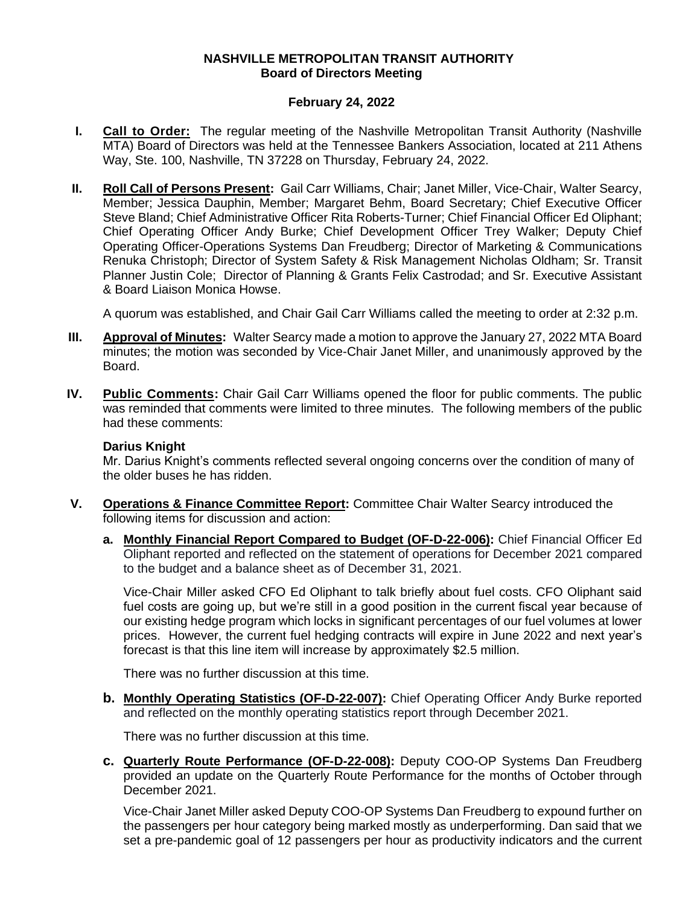## **NASHVILLE METROPOLITAN TRANSIT AUTHORITY Board of Directors Meeting**

## **February 24, 2022**

- **I. Call to Order:** The regular meeting of the Nashville Metropolitan Transit Authority (Nashville MTA) Board of Directors was held at the Tennessee Bankers Association, located at 211 Athens Way, Ste. 100, Nashville, TN 37228 on Thursday, February 24, 2022.
- **II. Roll Call of Persons Present:** Gail Carr Williams, Chair; Janet Miller, Vice-Chair, Walter Searcy, Member; Jessica Dauphin, Member; Margaret Behm, Board Secretary; Chief Executive Officer Steve Bland; Chief Administrative Officer Rita Roberts-Turner; Chief Financial Officer Ed Oliphant; Chief Operating Officer Andy Burke; Chief Development Officer Trey Walker; Deputy Chief Operating Officer-Operations Systems Dan Freudberg; Director of Marketing & Communications Renuka Christoph; Director of System Safety & Risk Management Nicholas Oldham; Sr. Transit Planner Justin Cole; Director of Planning & Grants Felix Castrodad; and Sr. Executive Assistant & Board Liaison Monica Howse.

A quorum was established, and Chair Gail Carr Williams called the meeting to order at 2:32 p.m.

- **III. Approval of Minutes:** Walter Searcy made a motion to approve the January 27, 2022 MTA Board minutes; the motion was seconded by Vice-Chair Janet Miller, and unanimously approved by the Board.
- **IV. Public Comments:** Chair Gail Carr Williams opened the floor for public comments. The public was reminded that comments were limited to three minutes. The following members of the public had these comments:

## **Darius Knight**

Mr. Darius Knight's comments reflected several ongoing concerns over the condition of many of the older buses he has ridden.

- **V. Operations & Finance Committee Report:** Committee Chair Walter Searcy introduced the following items for discussion and action:
	- **a. Monthly Financial Report Compared to Budget (OF-D-22-006):** Chief Financial Officer Ed Oliphant reported and reflected on the statement of operations for December 2021 compared to the budget and a balance sheet as of December 31, 2021.

Vice-Chair Miller asked CFO Ed Oliphant to talk briefly about fuel costs. CFO Oliphant said fuel costs are going up, but we're still in a good position in the current fiscal year because of our existing hedge program which locks in significant percentages of our fuel volumes at lower prices. However, the current fuel hedging contracts will expire in June 2022 and next year's forecast is that this line item will increase by approximately \$2.5 million.

There was no further discussion at this time.

**b. Monthly Operating Statistics (OF-D-22-007):** Chief Operating Officer Andy Burke reported and reflected on the monthly operating statistics report through December 2021.

There was no further discussion at this time.

**c. Quarterly Route Performance (OF-D-22-008):** Deputy COO-OP Systems Dan Freudberg provided an update on the Quarterly Route Performance for the months of October through December 2021.

Vice-Chair Janet Miller asked Deputy COO-OP Systems Dan Freudberg to expound further on the passengers per hour category being marked mostly as underperforming. Dan said that we set a pre-pandemic goal of 12 passengers per hour as productivity indicators and the current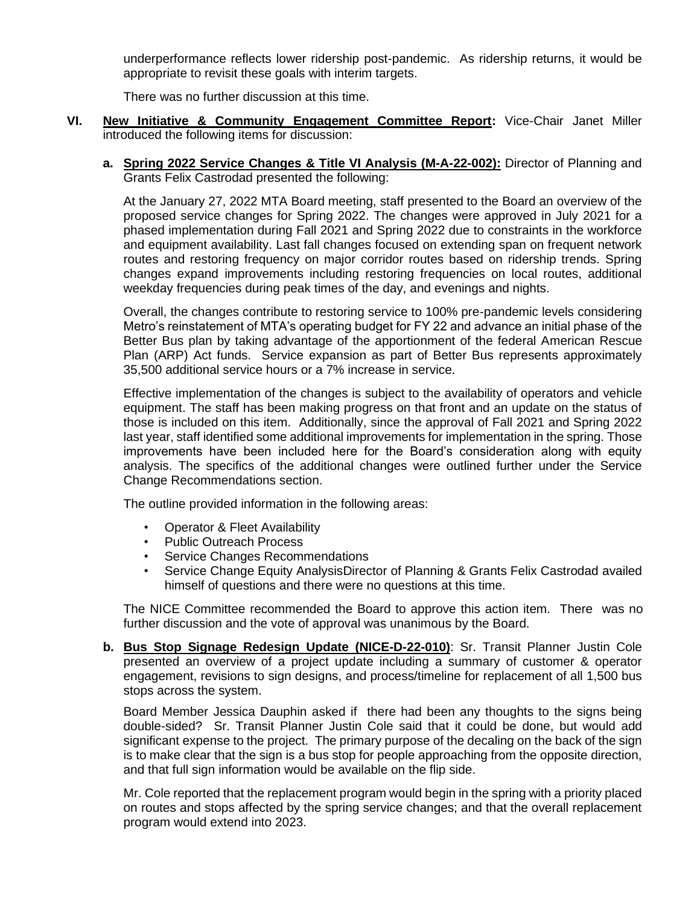underperformance reflects lower ridership post-pandemic. As ridership returns, it would be appropriate to revisit these goals with interim targets.

There was no further discussion at this time.

- **VI. New Initiative & Community Engagement Committee Report:** Vice-Chair Janet Miller introduced the following items for discussion:
	- **a. Spring 2022 Service Changes & Title VI Analysis (M-A-22-002):** Director of Planning and Grants Felix Castrodad presented the following:

At the January 27, 2022 MTA Board meeting, staff presented to the Board an overview of the proposed service changes for Spring 2022. The changes were approved in July 2021 for a phased implementation during Fall 2021 and Spring 2022 due to constraints in the workforce and equipment availability. Last fall changes focused on extending span on frequent network routes and restoring frequency on major corridor routes based on ridership trends. Spring changes expand improvements including restoring frequencies on local routes, additional weekday frequencies during peak times of the day, and evenings and nights.

Overall, the changes contribute to restoring service to 100% pre-pandemic levels considering Metro's reinstatement of MTA's operating budget for FY 22 and advance an initial phase of the Better Bus plan by taking advantage of the apportionment of the federal American Rescue Plan (ARP) Act funds. Service expansion as part of Better Bus represents approximately 35,500 additional service hours or a 7% increase in service.

Effective implementation of the changes is subject to the availability of operators and vehicle equipment. The staff has been making progress on that front and an update on the status of those is included on this item. Additionally, since the approval of Fall 2021 and Spring 2022 last year, staff identified some additional improvements for implementation in the spring. Those improvements have been included here for the Board's consideration along with equity analysis. The specifics of the additional changes were outlined further under the Service Change Recommendations section.

The outline provided information in the following areas:

- Operator & Fleet Availability
- Public Outreach Process
- Service Changes Recommendations
- Service Change Equity AnalysisDirector of Planning & Grants Felix Castrodad availed himself of questions and there were no questions at this time.

The NICE Committee recommended the Board to approve this action item. There was no further discussion and the vote of approval was unanimous by the Board.

**b. Bus Stop Signage Redesign Update (NICE-D-22-010)**: Sr. Transit Planner Justin Cole presented an overview of a project update including a summary of customer & operator engagement, revisions to sign designs, and process/timeline for replacement of all 1,500 bus stops across the system.

Board Member Jessica Dauphin asked if there had been any thoughts to the signs being double-sided? Sr. Transit Planner Justin Cole said that it could be done, but would add significant expense to the project. The primary purpose of the decaling on the back of the sign is to make clear that the sign is a bus stop for people approaching from the opposite direction, and that full sign information would be available on the flip side.

Mr. Cole reported that the replacement program would begin in the spring with a priority placed on routes and stops affected by the spring service changes; and that the overall replacement program would extend into 2023.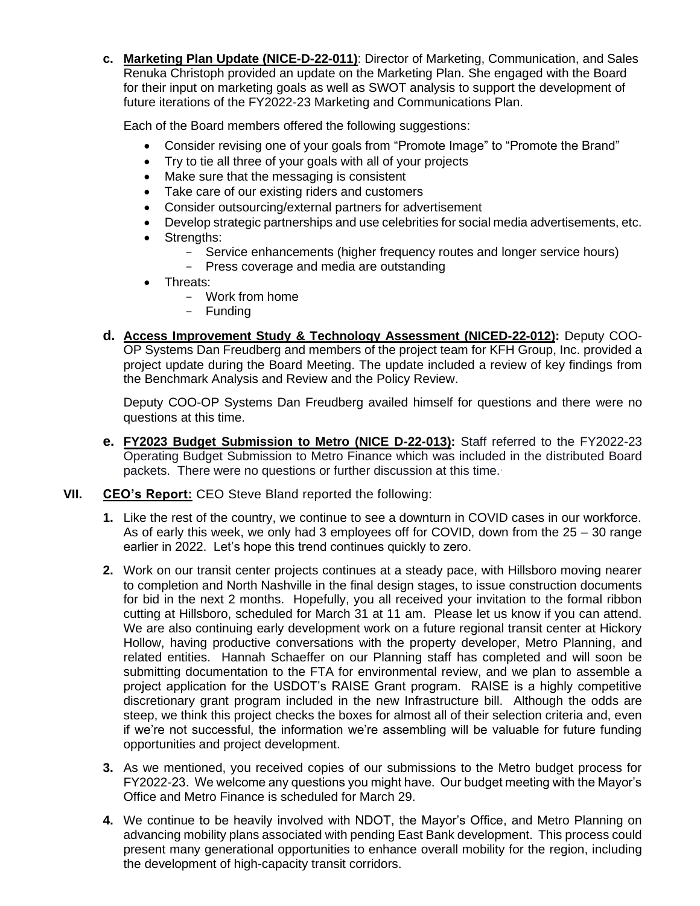**c. Marketing Plan Update (NICE-D-22-011)**: Director of Marketing, Communication, and Sales Renuka Christoph provided an update on the Marketing Plan. She engaged with the Board for their input on marketing goals as well as SWOT analysis to support the development of future iterations of the FY2022-23 Marketing and Communications Plan.

Each of the Board members offered the following suggestions:

- Consider revising one of your goals from "Promote Image" to "Promote the Brand"
- Try to tie all three of your goals with all of your projects
- Make sure that the messaging is consistent
- Take care of our existing riders and customers
- Consider outsourcing/external partners for advertisement
- Develop strategic partnerships and use celebrities for social media advertisements, etc.
- Strengths:
	- Service enhancements (higher frequency routes and longer service hours)
	- Press coverage and media are outstanding
- Threats:
	- Work from home
	- Funding
- **d. Access Improvement Study & Technology Assessment (NICED-22-012):** Deputy COO-OP Systems Dan Freudberg and members of the project team for KFH Group, Inc. provided a project update during the Board Meeting. The update included a review of key findings from the Benchmark Analysis and Review and the Policy Review.

Deputy COO-OP Systems Dan Freudberg availed himself for questions and there were no questions at this time.

- **e. FY2023 Budget Submission to Metro (NICE D-22-013):** Staff referred to the FY2022-23 Operating Budget Submission to Metro Finance which was included in the distributed Board packets. There were no questions or further discussion at this time.
- **VII. CEO's Report:** CEO Steve Bland reported the following:
	- **1.** Like the rest of the country, we continue to see a downturn in COVID cases in our workforce. As of early this week, we only had 3 employees off for COVID, down from the 25 – 30 range earlier in 2022. Let's hope this trend continues quickly to zero.
	- **2.** Work on our transit center projects continues at a steady pace, with Hillsboro moving nearer to completion and North Nashville in the final design stages, to issue construction documents for bid in the next 2 months. Hopefully, you all received your invitation to the formal ribbon cutting at Hillsboro, scheduled for March 31 at 11 am. Please let us know if you can attend. We are also continuing early development work on a future regional transit center at Hickory Hollow, having productive conversations with the property developer, Metro Planning, and related entities. Hannah Schaeffer on our Planning staff has completed and will soon be submitting documentation to the FTA for environmental review, and we plan to assemble a project application for the USDOT's RAISE Grant program. RAISE is a highly competitive discretionary grant program included in the new Infrastructure bill. Although the odds are steep, we think this project checks the boxes for almost all of their selection criteria and, even if we're not successful, the information we're assembling will be valuable for future funding opportunities and project development.
	- **3.** As we mentioned, you received copies of our submissions to the Metro budget process for FY2022-23. We welcome any questions you might have. Our budget meeting with the Mayor's Office and Metro Finance is scheduled for March 29.
	- **4.** We continue to be heavily involved with NDOT, the Mayor's Office, and Metro Planning on advancing mobility plans associated with pending East Bank development. This process could present many generational opportunities to enhance overall mobility for the region, including the development of high-capacity transit corridors.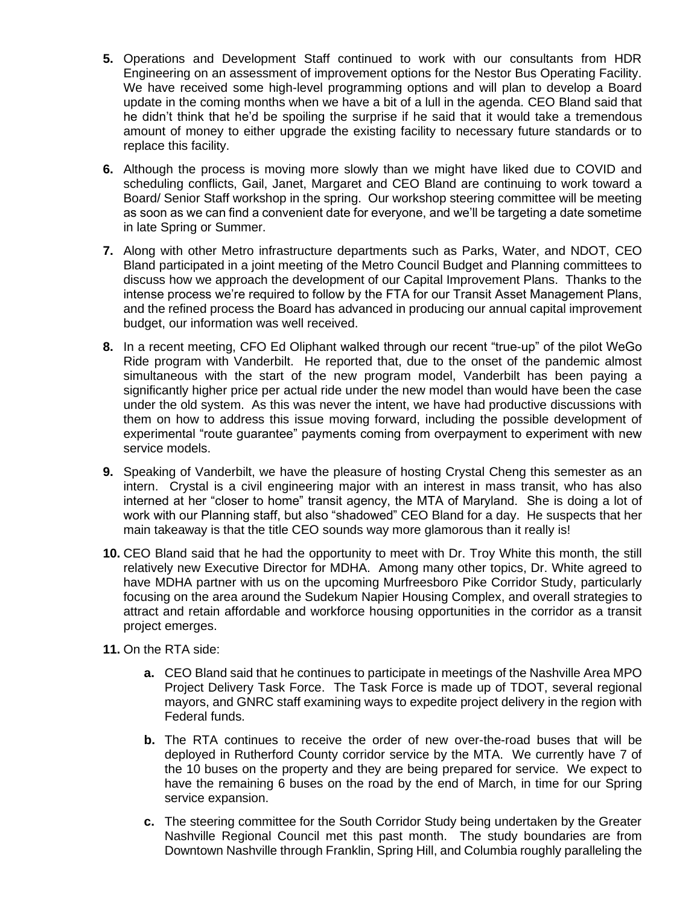- **5.** Operations and Development Staff continued to work with our consultants from HDR Engineering on an assessment of improvement options for the Nestor Bus Operating Facility. We have received some high-level programming options and will plan to develop a Board update in the coming months when we have a bit of a lull in the agenda. CEO Bland said that he didn't think that he'd be spoiling the surprise if he said that it would take a tremendous amount of money to either upgrade the existing facility to necessary future standards or to replace this facility.
- **6.** Although the process is moving more slowly than we might have liked due to COVID and scheduling conflicts, Gail, Janet, Margaret and CEO Bland are continuing to work toward a Board/ Senior Staff workshop in the spring. Our workshop steering committee will be meeting as soon as we can find a convenient date for everyone, and we'll be targeting a date sometime in late Spring or Summer.
- **7.** Along with other Metro infrastructure departments such as Parks, Water, and NDOT, CEO Bland participated in a joint meeting of the Metro Council Budget and Planning committees to discuss how we approach the development of our Capital Improvement Plans. Thanks to the intense process we're required to follow by the FTA for our Transit Asset Management Plans, and the refined process the Board has advanced in producing our annual capital improvement budget, our information was well received.
- **8.** In a recent meeting, CFO Ed Oliphant walked through our recent "true-up" of the pilot WeGo Ride program with Vanderbilt. He reported that, due to the onset of the pandemic almost simultaneous with the start of the new program model, Vanderbilt has been paying a significantly higher price per actual ride under the new model than would have been the case under the old system. As this was never the intent, we have had productive discussions with them on how to address this issue moving forward, including the possible development of experimental "route guarantee" payments coming from overpayment to experiment with new service models.
- **9.** Speaking of Vanderbilt, we have the pleasure of hosting Crystal Cheng this semester as an intern. Crystal is a civil engineering major with an interest in mass transit, who has also interned at her "closer to home" transit agency, the MTA of Maryland. She is doing a lot of work with our Planning staff, but also "shadowed" CEO Bland for a day. He suspects that her main takeaway is that the title CEO sounds way more glamorous than it really is!
- **10.** CEO Bland said that he had the opportunity to meet with Dr. Troy White this month, the still relatively new Executive Director for MDHA. Among many other topics, Dr. White agreed to have MDHA partner with us on the upcoming Murfreesboro Pike Corridor Study, particularly focusing on the area around the Sudekum Napier Housing Complex, and overall strategies to attract and retain affordable and workforce housing opportunities in the corridor as a transit project emerges.
- **11.** On the RTA side:
	- **a.** CEO Bland said that he continues to participate in meetings of the Nashville Area MPO Project Delivery Task Force. The Task Force is made up of TDOT, several regional mayors, and GNRC staff examining ways to expedite project delivery in the region with Federal funds.
	- **b.** The RTA continues to receive the order of new over-the-road buses that will be deployed in Rutherford County corridor service by the MTA. We currently have 7 of the 10 buses on the property and they are being prepared for service. We expect to have the remaining 6 buses on the road by the end of March, in time for our Spring service expansion.
	- **c.** The steering committee for the South Corridor Study being undertaken by the Greater Nashville Regional Council met this past month. The study boundaries are from Downtown Nashville through Franklin, Spring Hill, and Columbia roughly paralleling the